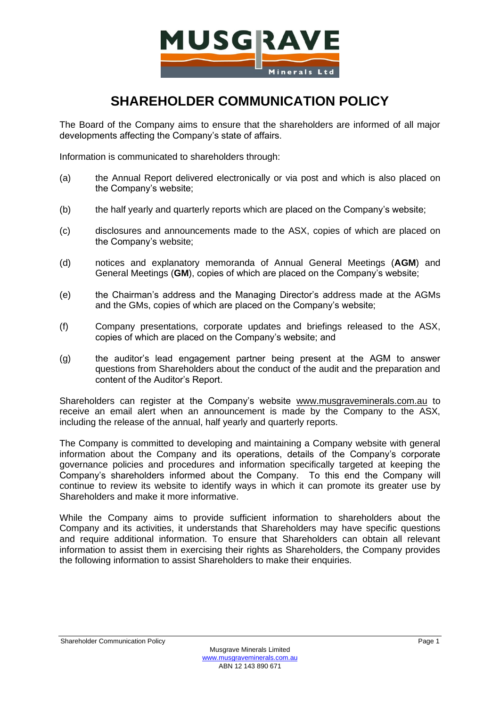

## **SHAREHOLDER COMMUNICATION POLICY**

The Board of the Company aims to ensure that the shareholders are informed of all major developments affecting the Company's state of affairs.

Information is communicated to shareholders through:

- (a) the Annual Report delivered electronically or via post and which is also placed on the Company's website;
- (b) the half yearly and quarterly reports which are placed on the Company's website;
- (c) disclosures and announcements made to the ASX, copies of which are placed on the Company's website;
- (d) notices and explanatory memoranda of Annual General Meetings (**AGM**) and General Meetings (**GM**), copies of which are placed on the Company's website;
- (e) the Chairman's address and the Managing Director's address made at the AGMs and the GMs, copies of which are placed on the Company's website;
- (f) Company presentations, corporate updates and briefings released to the ASX, copies of which are placed on the Company's website; and
- (g) the auditor's lead engagement partner being present at the AGM to answer questions from Shareholders about the conduct of the audit and the preparation and content of the Auditor's Report.

Shareholders can register at the Company's website [www.musgraveminerals.com.au](http://www.musgraveminerals.com.au/) to receive an email alert when an announcement is made by the Company to the ASX, including the release of the annual, half yearly and quarterly reports.

The Company is committed to developing and maintaining a Company website with general information about the Company and its operations, details of the Company's corporate governance policies and procedures and information specifically targeted at keeping the Company's shareholders informed about the Company. To this end the Company will continue to review its website to identify ways in which it can promote its greater use by Shareholders and make it more informative.

While the Company aims to provide sufficient information to shareholders about the Company and its activities, it understands that Shareholders may have specific questions and require additional information. To ensure that Shareholders can obtain all relevant information to assist them in exercising their rights as Shareholders, the Company provides the following information to assist Shareholders to make their enquiries.